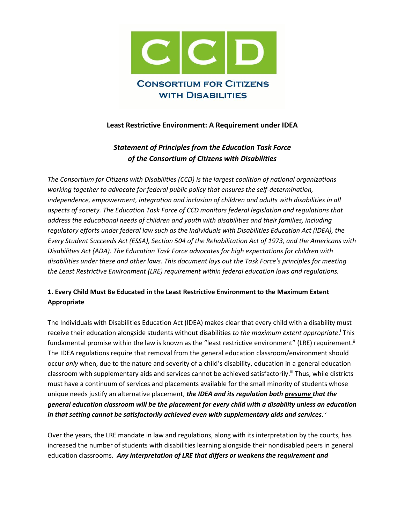

### **Least Restrictive Environment: A Requirement under IDEA**

# *Statement of Principles from the Education Task Force of the Consortium of Citizens with Disabilities*

*The Consortium for Citizens with Disabilities (CCD) is the largest coalition of national organizations working together to advocate for federal public policy that ensures the self-determination, independence, empowerment, integration and inclusion of children and adults with disabilities in all aspects of society. The Education Task Force of CCD monitors federal legislation and regulations that address the educational needs of children and youth with disabilities and their families, including regulatory efforts under federal law such as the Individuals with Disabilities Education Act (IDEA), the Every Student Succeeds Act (ESSA), Section 504 of the Rehabilitation Act of 1973, and the Americans with Disabilities Act (ADA). The Education Task Force advocates for high expectations for children with disabilities under these and other laws. This document lays out the Task Force's principles for meeting the Least Restrictive Environment (LRE) requirement within federal education laws and regulations.*

### **1. Every Child Must Be Educated in the Least Restrictive Environment to the Maximum Extent Appropriate**

The Individuals with Disabilities Education Act (IDEA) makes clear that every child with a disability must receive their education alongside students without disabilities *to the maximum extent appropriate*.<sup>i</sup> This fundamental promise within the law is known as the "least restrictive environment" (LRE) requirement.<sup>ii</sup> The IDEA regulations require that removal from the general education classroom/environment should occur *only* when, due to the nature and severity of a child's disability, education in a general education classroom with supplementary aids and services cannot be achieved satisfactorily.<sup>III</sup> Thus, while districts must have a continuum of services and placements available for the small minority of students whose unique needs justify an alternative placement, *the IDEA and its regulation both presume that the general education classroom will be the placement for every child with a disability unless an education*  in that setting cannot be satisfactorily achieved even with supplementary aids and services. $^{\mathrm{iv}}$ 

Over the years, the LRE mandate in law and regulations, along with its interpretation by the courts, has increased the number of students with disabilities learning alongside their nondisabled peers in general education classrooms. *Any interpretation of LRE that differs or weakens the requirement and*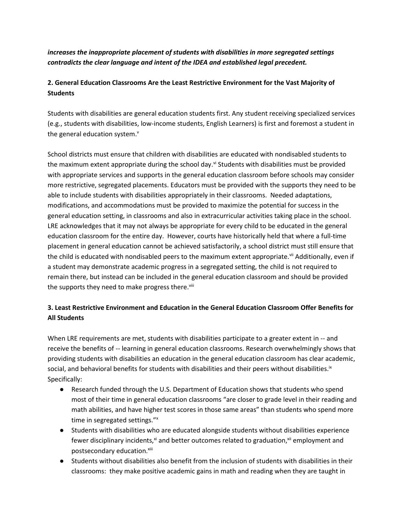*increases the inappropriate placement of students with disabilities in more segregated settings contradicts the clear language and intent of the IDEA and established legal precedent.*

## **2. General Education Classrooms Are the Least Restrictive Environment for the Vast Majority of Students**

Students with disabilities are general education students first. Any student receiving specialized services (e.g., students with disabilities, low-income students, English Learners) is first and foremost a student in the general education system.<sup>v</sup>

School districts must ensure that children with disabilities are educated with nondisabled students to the maximum extent appropriate during the school day.<sup>vi</sup> Students with disabilities must be provided with appropriate services and supports in the general education classroom before schools may consider more restrictive, segregated placements. Educators must be provided with the supports they need to be able to include students with disabilities appropriately in their classrooms. Needed adaptations, modifications, and accommodations must be provided to maximize the potential for success in the general education setting, in classrooms and also in extracurricular activities taking place in the school. LRE acknowledges that it may not always be appropriate for every child to be educated in the general education classroom for the entire day. However, courts have historically held that where a full-time placement in general education cannot be achieved satisfactorily, a school district must still ensure that the child is educated with nondisabled peers to the maximum extent appropriate.<sup>vii</sup> Additionally, even if a student may demonstrate academic progress in a segregated setting, the child is not required to remain there, but instead can be included in the general education classroom and should be provided the supports they need to make progress there.<sup>viii</sup>

## **3. Least Restrictive Environment and Education in the General Education Classroom Offer Benefits for All Students**

When LRE requirements are met, students with disabilities participate to a greater extent in -- and receive the benefits of -- learning in general education classrooms. Research overwhelmingly shows that providing students with disabilities an education in the general education classroom has clear academic, social, and behavioral benefits for students with disabilities and their peers without disabilities.<sup>ix</sup> Specifically:

- Research funded through the U.S. Department of Education shows that students who spend most of their time in general education classrooms "are closer to grade level in their reading and math abilities, and have higher test scores in those same areas" than students who spend more time in segregated settings."<sup>x</sup>
- Students with disabilities who are educated alongside students without disabilities experience fewer disciplinary incidents,<sup>xi</sup> and better outcomes related to graduation,<sup>xii</sup> employment and postsecondary education.xiii
- Students without disabilities also benefit from the inclusion of students with disabilities in their classrooms: they make positive academic gains in math and reading when they are taught in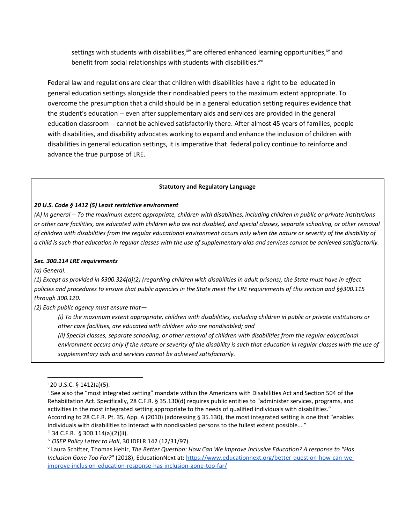settings with students with disabilities,  $\frac{x}{y}$  are offered enhanced learning opportunities,  $\frac{x}{y}$  and benefit from social relationships with students with disabilities.<sup>xvi</sup>

Federal law and regulations are clear that children with disabilities have a right to be educated in general education settings alongside their nondisabled peers to the maximum extent appropriate. To overcome the presumption that a child should be in a general education setting requires evidence that the student's education -- even after supplementary aids and services are provided in the general education classroom -- cannot be achieved satisfactorily there. After almost 45 years of families, people with disabilities, and disability advocates working to expand and enhance the inclusion of children with disabilities in general education settings, it is imperative that federal policy continue to reinforce and advance the true purpose of LRE.

#### **Statutory and Regulatory Language**

#### *20 U.S. Code § 1412 (5) Least restrictive environment*

*(A) In general -- To the maximum extent appropriate, children with disabilities, including children in public or private institutions or other care facilities, are educated with children who are not disabled, and special classes, separate schooling, or other removal of children with disabilities from the regular educational environment occurs only when the nature or severity of the disability of a child is such that education in regular classes with the use of supplementary aids and services cannot be achieved satisfactorily.*

#### *Sec. 300.114 LRE requirements*

*(a) General.*

*(1) Except as provided in §300.324(d)(2) (regarding children with disabilities in adult prisons), the State must have in effect policies and procedures to ensure that public agencies in the State meet the LRE requirements of this section and §§300.115 through 300.120.*

*(2) Each public agency must ensure that—*

*(i) To the maximum extent appropriate, children with disabilities, including children in public or private institutions or other care facilities, are educated with children who are nondisabled; and*

*(ii) Special classes, separate schooling, or other removal of children with disabilities from the regular educational environment occurs only if the nature or severity of the disability is such that education in regular classes with the use of supplementary aids and services cannot be achieved satisfactorily.*

 $1^{1}$  20 U.S.C. § 1412(a)(5).

ii See also the "most integrated setting" mandate within the Americans with Disabilities Act and Section 504 of the Rehabiitation Act. Specifically, 28 C.F.R. § 35.130(d) requires public entities to "administer services, programs, and activities in the most integrated setting appropriate to the needs of qualified individuals with disabilities." According to 28 C.F.R. Pt. 35, App. A (2010) (addressing § 35.130), the most integrated setting is one that "enables individuals with disabilities to interact with nondisabled persons to the fullest extent possible…."

iii 34 C.F.R. § 300.114(a)(2)(ii).

iv *OSEP Policy Letter to Hall*, 30 IDELR 142 (12/31/97).

v Laura Schifter, Thomas Hehir, *The Better Question: How Can We Improve Inclusive Education? A response to "Has Inclusion Gone Too Far?*" (2018), EducationNext at: [https://www.educationnext.org/better-question-how-can-we](https://www.educationnext.org/better-question-how-can-we-improve-inclusion-education-response-has-inclusion-gone-too-far/)[improve-inclusion-education-response-has-inclusion-gone-too-far/](https://www.educationnext.org/better-question-how-can-we-improve-inclusion-education-response-has-inclusion-gone-too-far/)